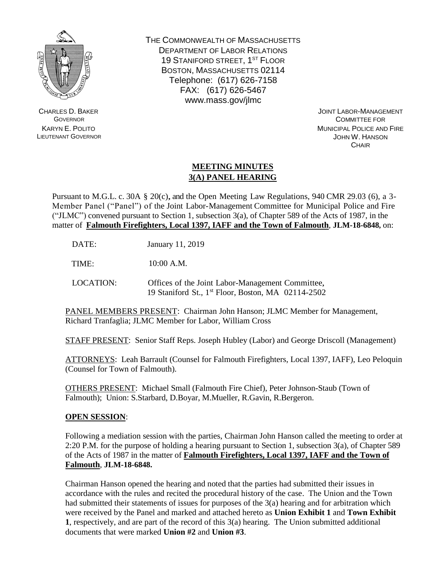

CHARLES D. BAKER **GOVERNOR** KARYN E. POLITO LIEUTENANT GOVERNOR THE COMMONWEALTH OF MASSACHUSETTS DEPARTMENT OF LABOR RELATIONS 19 STANIFORD STREET, 1<sup>ST</sup> FLOOR BOSTON, MASSACHUSETTS 02114 Telephone: (617) 626-7158 FAX: (617) 626-5467 www.mass.gov/jlmc

> JOINT LABOR-MANAGEMENT COMMITTEE FOR MUNICIPAL POLICE AND FIRE JOHN W. HANSON **CHAIR**

## **MEETING MINUTES 3(A) PANEL HEARING**

Pursuant to M.G.L. c. 30A § 20(c), and the Open Meeting Law Regulations, 940 CMR 29.03 (6), a 3- Member Panel ("Panel") of the Joint Labor-Management Committee for Municipal Police and Fire ("JLMC") convened pursuant to Section 1, subsection  $3(a)$ , of Chapter 589 of the Acts of 1987, in the matter of **Falmouth Firefighters, Local 1397, IAFF and the Town of Falmouth**, **JLM-18-6848,** on:

DATE: January 11, 2019

TIME: 10:00 A.M.

LOCATION: Offices of the Joint Labor-Management Committee, 19 Staniford St., 1 st Floor, Boston, MA 02114-2502

PANEL MEMBERS PRESENT: Chairman John Hanson; JLMC Member for Management, Richard Tranfaglia; JLMC Member for Labor, William Cross

STAFF PRESENT: Senior Staff Reps. Joseph Hubley (Labor) and George Driscoll (Management)

ATTORNEYS: Leah Barrault (Counsel for Falmouth Firefighters, Local 1397, IAFF), Leo Peloquin (Counsel for Town of Falmouth).

OTHERS PRESENT: Michael Small (Falmouth Fire Chief), Peter Johnson-Staub (Town of Falmouth); Union: S.Starbard, D.Boyar, M.Mueller, R.Gavin, R.Bergeron.

## **OPEN SESSION**:

Following a mediation session with the parties, Chairman John Hanson called the meeting to order at 2:20 P.M. for the purpose of holding a hearing pursuant to Section 1, subsection 3(a), of Chapter 589 of the Acts of 1987 in the matter of **Falmouth Firefighters, Local 1397, IAFF and the Town of Falmouth**, **JLM-18-6848.** 

Chairman Hanson opened the hearing and noted that the parties had submitted their issues in accordance with the rules and recited the procedural history of the case. The Union and the Town had submitted their statements of issues for purposes of the 3(a) hearing and for arbitration which were received by the Panel and marked and attached hereto as **Union Exhibit 1** and **Town Exhibit 1**, respectively, and are part of the record of this 3(a) hearing. The Union submitted additional documents that were marked **Union #2** and **Union #3**.